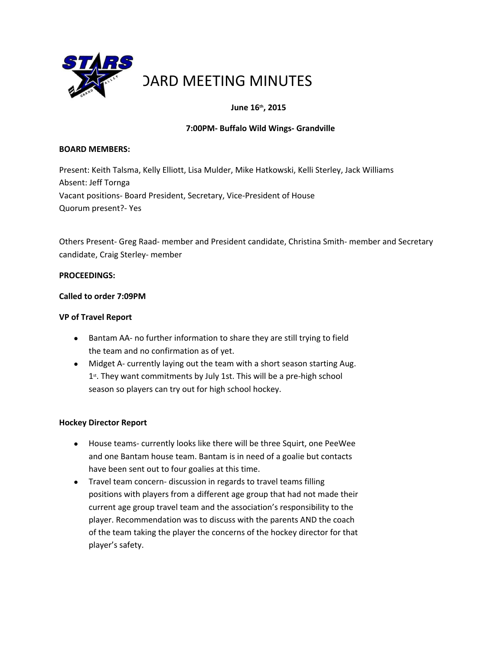

# **DARD MEETING MINUTES**

# **June 16th, 2015**

## **7:00PM‐ Buffalo Wild Wings‐ Grandville**

#### **BOARD MEMBERS:**

Present: Keith Talsma, Kelly Elliott, Lisa Mulder, Mike Hatkowski, Kelli Sterley, Jack Williams Absent: Jeff Tornga Vacant positions‐ Board President, Secretary, Vice‐President of House Quorum present?‐ Yes

Others Present‐ Greg Raad‐ member and President candidate, Christina Smith‐ member and Secretary candidate, Craig Sterley‐ member

## **PROCEEDINGS:**

#### **Called to order 7:09PM**

## **VP of Travel Report**

- Bantam AA- no further information to share they are still trying to field the team and no confirmation as of yet.
- Midget A- currently laying out the team with a short season starting Aug. 1st. They want commitments by July 1st. This will be a pre-high school season so players can try out for high school hockey.

## **Hockey Director Report**

- House teams- currently looks like there will be three Squirt, one PeeWee and one Bantam house team. Bantam is in need of a goalie but contacts have been sent out to four goalies at this time.
- Travel team concern- discussion in regards to travel teams filling positions with players from a different age group that had not made their current age group travel team and the association's responsibility to the player. Recommendation was to discuss with the parents AND the coach of the team taking the player the concerns of the hockey director for that player's safety.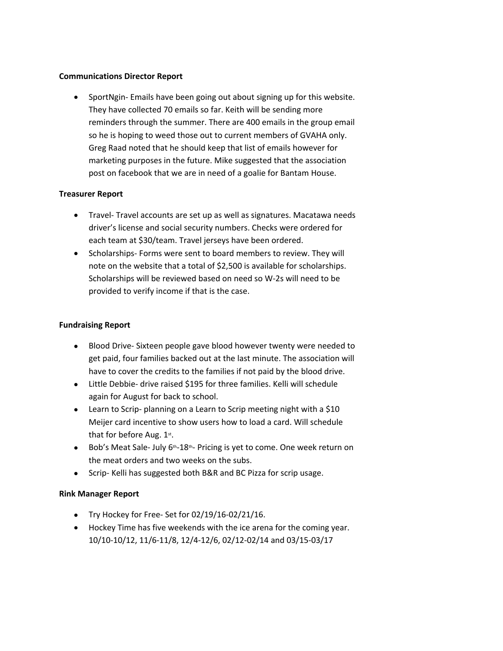#### **Communications Director Report**

● SportNgin- Emails have been going out about signing up for this website. They have collected 70 emails so far. Keith will be sending more reminders through the summer. There are 400 emails in the group email so he is hoping to weed those out to current members of GVAHA only. Greg Raad noted that he should keep that list of emails however for marketing purposes in the future. Mike suggested that the association post on facebook that we are in need of a goalie for Bantam House.

## **Treasurer Report**

- Travel-Travel accounts are set up as well as signatures. Macatawa needs driver's license and social security numbers. Checks were ordered for each team at \$30/team. Travel jerseys have been ordered.
- Scholarships- Forms were sent to board members to review. They will note on the website that a total of \$2,500 is available for scholarships. Scholarships will be reviewed based on need so W‐2s will need to be provided to verify income if that is the case.

#### **Fundraising Report**

- Blood Drive-Sixteen people gave blood however twenty were needed to get paid, four families backed out at the last minute. The association will have to cover the credits to the families if not paid by the blood drive.
- Little Debbie- drive raised \$195 for three families. Kelli will schedule again for August for back to school.
- **•** Learn to Scrip- planning on a Learn to Scrip meeting night with a \$10 Meijer card incentive to show users how to load a card. Will schedule that for before Aug. 1st.
- Bob's Meat Sale- July 6<sup>th</sup>-18<sup>th</sup>- Pricing is yet to come. One week return on the meat orders and two weeks on the subs.
- Scrip- Kelli has suggested both B&R and BC Pizza for scrip usage.

## **Rink Manager Report**

- $\bullet$  Try Hockey for Free-Set for 02/19/16-02/21/16.
- Hockey Time has five weekends with the ice arena for the coming year. 10/10‐10/12, 11/6‐11/8, 12/4‐12/6, 02/12‐02/14 and 03/15‐03/17